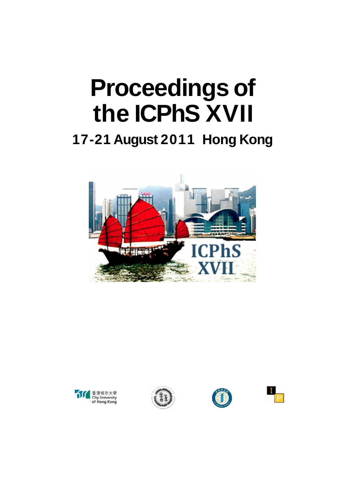# **Proceedings of the ICPhS XVII**

### **17-21 August 2011 Hong Kong**









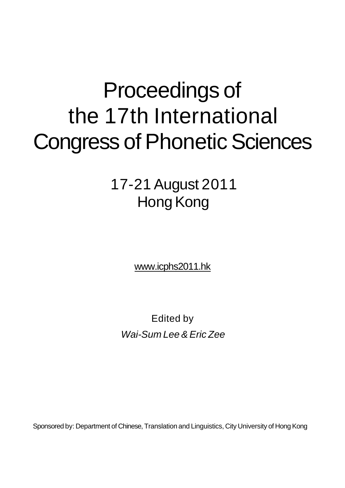## Proceedings of the 17th International Congress of Phonetic Sciences

17-21 August 2011 Hong Kong

[www.icphs2011.hk](http://www.icphs2011.hk)

Edited by Wai-Sum Lee & Eric Zee

Sponsored by: Department of Chinese, Translation and Linguistics, City University of Hong Kong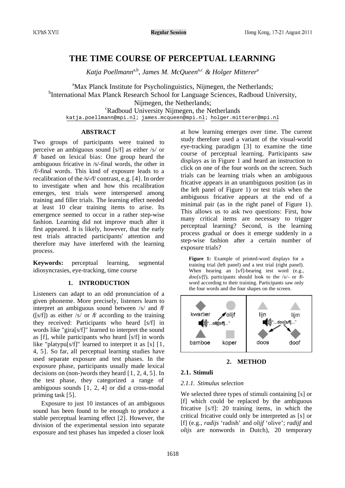### **THE TIME COURSE OF PERCEPTUAL LEARNING**

*Katja Poellmann*a,b*, James M. McQueen*a,c *& Holger Mitterer*<sup>a</sup>

<sup>a</sup>Max Planck Institute for Psycholinguistics, Nijmegen, the Netherlands; <sup>b</sup>International Max Planck Research School for Language Sciences, Radboud University, Nijmegen, the Netherlands; <sup>c</sup>Radboud University Nijmegen, the Netherlands [katja.poellmann@mpi.nl;](mailto:katja.poellmann@mpi.nl) [james.mcqueen@mpi.nl;](mailto:james.mcqueen@mpi.nl) [holger.mitterer@mpi.nl](mailto:holger.mitterer@mpi.nl)

#### **ABSTRACT**

Two groups of participants were trained to perceive an ambiguous sound [s/f] as either /s/ or /f/ based on lexical bias: One group heard the ambiguous fricative in /s/-final words, the other in /f/-final words. This kind of exposure leads to a recalibration of the /s/-/f/ contrast, e.g. [4]. In order to investigate when and how this recalibration emerges, test trials were interspersed among training and filler trials. The learning effect needed at least 10 clear training items to arise. Its emergence seemed to occur in a rather step-wise fashion. Learning did not improve much after it first appeared. It is likely, however, that the early test trials attracted participants' attention and therefore may have interfered with the learning process.

**Keywords:** perceptual learning, segmental idiosyncrasies, eye-tracking, time course

#### **1. INTRODUCTION**

Listeners can adapt to an odd pronunciation of a given phoneme. More precisely, listeners learn to interpret an ambiguous sound between  $/s/$  and  $f/$ ( $[s/f]$ ) as either /s/ or  $f\$  according to the training they received: Participants who heard [s/f] in words like "gira[s/f]" learned to interpret the sound as [f], while participants who heard [s/f] in words like "platypu[s/f]" learned to interpret it as  $[s] [1, 1]$ 4, 5]. So far, all perceptual learning studies have used separate exposure and test phases. In the exposure phase, participants usually made lexical decisions on (non-)words they heard [1, 2, 4, 5]. In the test phase, they categorized a range of ambiguous sounds [1, 2, 4] or did a cross-modal priming task [5].

Exposure to just 10 instances of an ambiguous sound has been found to be enough to produce a stable perceptual learning effect [2]. However, the division of the experimental session into separate exposure and test phases has impeded a closer look at how learning emerges over time. The current study therefore used a variant of the visual-world eye-tracking paradigm [3] to examine the time course of perceptual learning. Participants saw displays as in Figure 1 and heard an instruction to click on one of the four words on the screen. Such trials can be learning trials when an ambiguous fricative appears in an unambiguous position (as in the left panel of Figure 1) or test trials when the ambiguous fricative appears at the end of a minimal pair (as in the right panel of Figure 1). This allows us to ask two questions: First, how many critical items are necessary to trigger perceptual learning? Second, is the learning process gradual or does it emerge suddenly in a step-wise fashion after a certain number of exposure trials?

**Figure 1:** Example of printed-word displays for a training trial (left panel) and a test trial (right panel). When hearing an [s/f]-bearing test word (e.g., *doo[s/f]*), participants should look to the /s/- or /f/word according to their training. Participants saw only the four words and the four shapes on the screen.



#### **2. METHOD**

#### **2.1. Stimuli**

#### *2.1.1. Stimulus selection*

We selected three types of stimuli containing [s] or [f] which could be replaced by the ambiguous fricative [s/f]: 20 training items, in which the critical fricative could only be interpreted as [s] or [f] (e.g., *radijs* 'radish' and *olijf* 'olive'; *radijf* and *olijs* are nonwords in Dutch), 20 temporary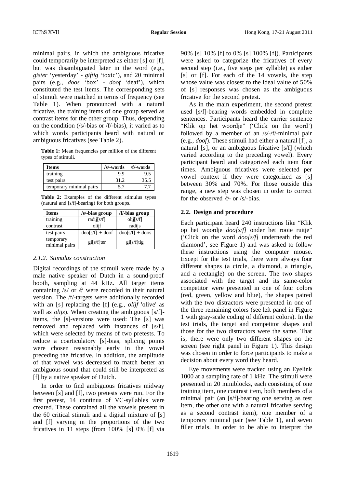minimal pairs, in which the ambiguous fricative could temporarily be interpreted as either [s] or [f], but was disambiguated later in the word (e.g., *gister* 'yesterday' - *giftig* 'toxic'), and 20 minimal pairs (e.g., *doos* 'box' - *doof* 'deaf'), which constituted the test items. The corresponding sets of stimuli were matched in terms of frequency (see Table 1). When pronounced with a natural fricative, the training items of one group served as contrast items for the other group. Thus, depending on the condition (/s/-bias or /f/-bias), it varied as to which words participants heard with natural or ambiguous fricatives (see Table 2).

**Table 1:** Mean frequencies per million of the different types of stimuli.

| <b>Items</b>            | /s/-words | /f/-words |
|-------------------------|-----------|-----------|
| training                | 9.9       | 9.5       |
| test pairs              | 31.2      | 35.5      |
| temporary minimal pairs | 5.7       | 7.7       |

**Table 2:** Examples of the different stimulus types (natural and [s/f]-bearing) for both groups.

| <b>Items</b>               | /s/-bias group        | /f/-bias group        |
|----------------------------|-----------------------|-----------------------|
| training                   | radij $[s/f]$         | olij[s/f]             |
| contrast                   | olijf                 | radijs                |
| test pairs                 | $d$ oo $[s/f]$ + doof | $d$ oo $[s/f]$ + doos |
| temporary<br>minimal pairs | $gi[s/f]$ ter         | $gi[s/f]$ tig         |

#### *2.1.2. Stimulus construction*

Digital recordings of the stimuli were made by a male native speaker of Dutch in a sound-proof booth, sampling at 44 kHz. All target items containing  $/s/$  or  $f/\sqrt{t}$  were recorded in their natural version. The /f/-targets were additionally recorded with an [s] replacing the [f] (e.g., *olijf* 'olive' as well as *olijs*). When creating the ambiguous [s/f] items, the [s]-versions were used: The [s] was removed and replaced with instances of [s/f], which were selected by means of two pretests. To reduce a coarticulatory [s]-bias, splicing points were chosen reasonably early in the vowel preceding the fricative. In addition, the amplitude of that vowel was decreased to match better an ambiguous sound that could still be interpreted as [f] by a native speaker of Dutch.

In order to find ambiguous fricatives midway between [s] and [f], two pretests were run. For the first pretest, 14 continua of VC-syllables were created. These contained all the vowels present in the 60 critical stimuli and a digital mixture of [s] and [f] varying in the proportions of the two fricatives in 11 steps (from 100% [s] 0% [f] via 90% [s] 10% [f] to 0% [s] 100% [f]). Participants were asked to categorize the fricatives of every second step (i.e., five steps per syllable) as either [s] or [f]. For each of the 14 vowels, the step whose value was closest to the ideal value of 50% of [s] responses was chosen as the ambiguous fricative for the second pretest.

As in the main experiment, the second pretest used [s/f]-bearing words embedded in complete sentences. Participants heard the carrier sentence "Klik op het woordje" ('Click on the word') followed by a member of an /s/-/f/-minimal pair (e.g., *doof*). These stimuli had either a natural [f], a natural [s], or an ambiguous fricative [s/f] (which varied according to the preceding vowel). Every participant heard and categorized each item four times. Ambiguous fricatives were selected per vowel context if they were categorized as [s] between 30% and 70%. For those outside this range, a new step was chosen in order to correct for the observed  $/f$ - or /s/-bias.

#### **2.2. Design and procedure**

Each participant heard 240 instructions like "Klik op het woordje *doo[s/f]* onder het rooie ruitje" ('Click on the word *doo[s/f]* underneath the red diamond', see Figure 1) and was asked to follow these instructions using the computer mouse. Except for the test trials, there were always four different shapes (a circle, a diamond, a triangle, and a rectangle) on the screen. The two shapes associated with the target and its same-color competitor were presented in one of four colors (red, green, yellow and blue), the shapes paired with the two distractors were presented in one of the three remaining colors (see left panel in Figure 1 with gray-scale coding of different colors). In the test trials, the target and competitor shapes and those for the two distractors were the same. That is, there were only two different shapes on the screen (see right panel in Figure 1). This design was chosen in order to force participants to make a decision about every word they heard.

Eye movements were tracked using an Eyelink 1000 at a sampling rate of 1 kHz. The stimuli were presented in 20 miniblocks, each consisting of one training item, one contrast item, both members of a minimal pair (an [s/f]-bearing one serving as test item, the other one with a natural fricative serving as a second contrast item), one member of a temporary minimal pair (see Table 1), and seven filler trials. In order to be able to interpret the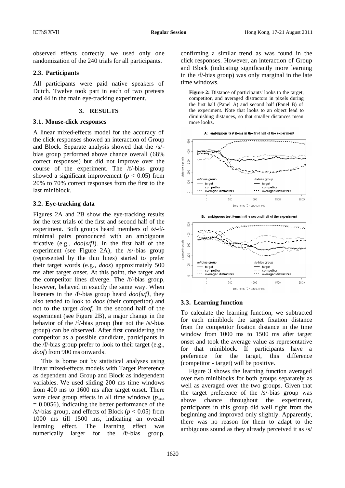observed effects correctly, we used only one randomization of the 240 trials for all participants.

#### **2.3. Participants**

All participants were paid native speakers of Dutch. Twelve took part in each of two pretests and 44 in the main eye-tracking experiment.

#### **3. RESULTS**

#### **3.1. Mouse-click responses**

A linear mixed-effects model for the accuracy of the click responses showed an interaction of Group and Block. Separate analysis showed that the /s/ bias group performed above chance overall (68% correct responses) but did not improve over the course of the experiment. The /f/-bias group showed a significant improvement ( $p < 0.05$ ) from 20% to 70% correct responses from the first to the last miniblock.

#### **3.2. Eye-tracking data**

Figures 2A and 2B show the eye-tracking results for the test trials of the first and second half of the experiment. Both groups heard members of /s/-/f/ minimal pairs pronounced with an ambiguous fricative (e.g., *doo[s/f]*). In the first half of the experiment (see Figure 2A), the /s/-bias group (represented by the thin lines) started to prefer their target words (e.g., *doos*) approximately 500 ms after target onset. At this point, the target and the competitor lines diverge. The /f/-bias group, however, behaved in exactly the same way. When listeners in the /f/-bias group heard *doo[s/f]*, they also tended to look to *doos* (their competitor) and not to the target *doof*. In the second half of the experiment (see Figure 2B), a major change in the behavior of the /f/-bias group (but not the /s/-bias group) can be observed. After first considering the competitor as a possible candidate, participants in the /f/-bias group prefer to look to their target (e.g., *doof*) from 900 ms onwards.

This is borne out by statistical analyses using linear mixed-effects models with Target Preference as dependent and Group and Block as independent variables. We used sliding 200 ms time windows from 400 ms to 1600 ms after target onset. There were clear group effects in all time windows  $(p_{\text{max}})$  $= 0.0056$ ), indicating the better performance of the /s/-bias group, and effects of Block ( $p < 0.05$ ) from 1000 ms till 1500 ms, indicating an overall learning effect. The learning effect was numerically larger for the /f/-bias group, confirming a similar trend as was found in the click responses. However, an interaction of Group and Block (indicating significantly more learning in the /f/-bias group) was only marginal in the late time windows.

**Figure 2:** Distance of participants' looks to the target, competitor, and averaged distractors in pixels during the first half (Panel A) and second half (Panel B) of the experiment. Note that looks to an object lead to diminishing distances, so that smaller distances mean more looks.



#### **3.3. Learning function**

To calculate the learning function, we subtracted for each miniblock the target fixation distance from the competitor fixation distance in the time window from 1000 ms to 1500 ms after target onset and took the average value as representative for that miniblock. If participants have a preference for the target, this difference (competitor - target) will be positive.

Figure 3 shows the learning function averaged over two miniblocks for both groups separately as well as averaged over the two groups. Given that the target preference of the /s/-bias group was above chance throughout the experiment, participants in this group did well right from the beginning and improved only slightly. Apparently, there was no reason for them to adapt to the ambiguous sound as they already perceived it as /s/